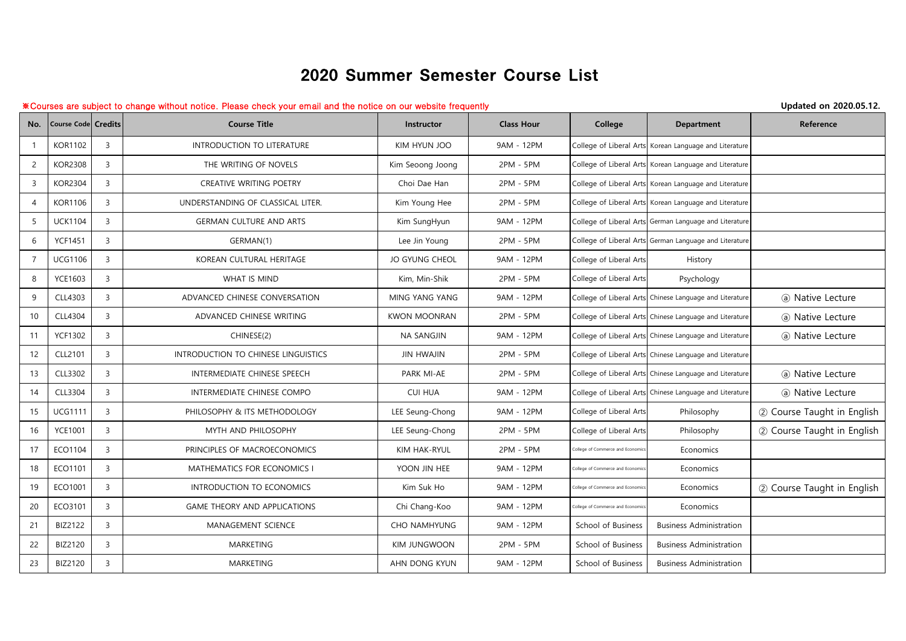## 2020 Summer Semester Course List

## ※Courses are subject to change without notice. Please check your email and the notice on our website frequently **Updated on 2020.05.12.**

| No.            | <b>Course Code Credits</b> |                | <b>Course Title</b>                 | <b>Instructor</b>     | <b>Class Hour</b> | College                           | <b>Department</b>                                       | Reference                  |
|----------------|----------------------------|----------------|-------------------------------------|-----------------------|-------------------|-----------------------------------|---------------------------------------------------------|----------------------------|
| 1              | <b>KOR1102</b>             | $\overline{3}$ | INTRODUCTION TO LITERATURE          | KIM HYUN JOO          | 9AM - 12PM        |                                   | College of Liberal Arts Korean Language and Literature  |                            |
| $\overline{2}$ | <b>KOR2308</b>             | $\overline{3}$ | THE WRITING OF NOVELS               | Kim Seoong Joong      | 2PM - 5PM         |                                   | College of Liberal Arts Korean Language and Literature  |                            |
| 3              | <b>KOR2304</b>             | $\overline{3}$ | CREATIVE WRITING POETRY             | Choi Dae Han          | 2PM - 5PM         |                                   | College of Liberal Arts Korean Language and Literature  |                            |
| 4              | <b>KOR1106</b>             | $\overline{3}$ | UNDERSTANDING OF CLASSICAL LITER.   | Kim Young Hee         | 2PM - 5PM         |                                   | College of Liberal Arts Korean Language and Literature  |                            |
| 5              | <b>UCK1104</b>             | $\overline{3}$ | <b>GERMAN CULTURE AND ARTS</b>      | Kim SungHyun          | 9AM - 12PM        |                                   | College of Liberal Arts German Language and Literature  |                            |
| 6              | <b>YCF1451</b>             | 3              | GERMAN(1)                           | Lee Jin Young         | 2PM - 5PM         |                                   | College of Liberal Arts German Language and Literature  |                            |
| $\overline{7}$ | <b>UCG1106</b>             | $\overline{3}$ | KOREAN CULTURAL HERITAGE            | <b>JO GYUNG CHEOL</b> | 9AM - 12PM        | College of Liberal Arts           | History                                                 |                            |
| 8              | <b>YCE1603</b>             | $\overline{3}$ | <b>WHAT IS MIND</b>                 | Kim, Min-Shik         | 2PM - 5PM         | College of Liberal Arts           | Psychology                                              |                            |
| 9              | CLL4303                    | $\overline{3}$ | ADVANCED CHINESE CONVERSATION       | MING YANG YANG        | 9AM - 12PM        |                                   | College of Liberal Arts Chinese Language and Literature | (a) Native Lecture         |
| 10             | CLL4304                    | $\overline{3}$ | ADVANCED CHINESE WRITING            | <b>KWON MOONRAN</b>   | 2PM - 5PM         |                                   | College of Liberal Arts Chinese Language and Literature | (a) Native Lecture         |
| 11             | <b>YCF1302</b>             | $\overline{3}$ | CHINESE(2)                          | <b>NA SANGJIN</b>     | 9AM - 12PM        |                                   | College of Liberal Arts Chinese Language and Literature | (a) Native Lecture         |
| 12             | CLL2101                    | $\overline{3}$ | INTRODUCTION TO CHINESE LINGUISTICS | <b>JIN HWAJIN</b>     | 2PM - 5PM         |                                   | College of Liberal Arts Chinese Language and Literature |                            |
| 13             | CLL3302                    | $\overline{3}$ | INTERMEDIATE CHINESE SPEECH         | PARK MI-AE            | 2PM - 5PM         |                                   | College of Liberal Arts Chinese Language and Literature | (a) Native Lecture         |
| 14             | CLL3304                    | $\overline{3}$ | INTERMEDIATE CHINESE COMPO          | <b>CUI HUA</b>        | 9AM - 12PM        |                                   | College of Liberal Arts Chinese Language and Literature | (a) Native Lecture         |
| 15             | <b>UCG1111</b>             | $\overline{3}$ | PHILOSOPHY & ITS METHODOLOGY        | LEE Seung-Chong       | 9AM - 12PM        | College of Liberal Arts           | Philosophy                                              | 2 Course Taught in English |
| 16             | <b>YCE1001</b>             | $\overline{3}$ | MYTH AND PHILOSOPHY                 | LEE Seung-Chong       | 2PM - 5PM         | College of Liberal Arts           | Philosophy                                              | 2 Course Taught in English |
| 17             | ECO1104                    | $\overline{3}$ | PRINCIPLES OF MACROECONOMICS        | KIM HAK-RYUL          | 2PM - 5PM         | College of Commerce and Economic  | Economics                                               |                            |
| 18             | ECO1101                    | $\overline{3}$ | MATHEMATICS FOR ECONOMICS I         | YOON JIN HEE          | 9AM - 12PM        | College of Commerce and Economic  | Economics                                               |                            |
| 19             | ECO1001                    | $\overline{3}$ | INTRODUCTION TO ECONOMICS           | Kim Suk Ho            | 9AM - 12PM        | College of Commerce and Economics | Economics                                               | 2 Course Taught in English |
| 20             | ECO3101                    | $\overline{3}$ | <b>GAME THEORY AND APPLICATIONS</b> | Chi Chang-Koo         | 9AM - 12PM        | ollege of Commerce and Economic   | Economics                                               |                            |
| 21             | <b>BIZ2122</b>             | $\overline{3}$ | MANAGEMENT SCIENCE                  | CHO NAMHYUNG          | 9AM - 12PM        | School of Business                | <b>Business Administration</b>                          |                            |
| 22             | BIZ2120                    | $\overline{3}$ | MARKETING                           | KIM JUNGWOON          | 2PM - 5PM         | School of Business                | <b>Business Administration</b>                          |                            |
| 23             | <b>BIZ2120</b>             | $\overline{3}$ | <b>MARKETING</b>                    | AHN DONG KYUN         | 9AM - 12PM        | School of Business                | <b>Business Administration</b>                          |                            |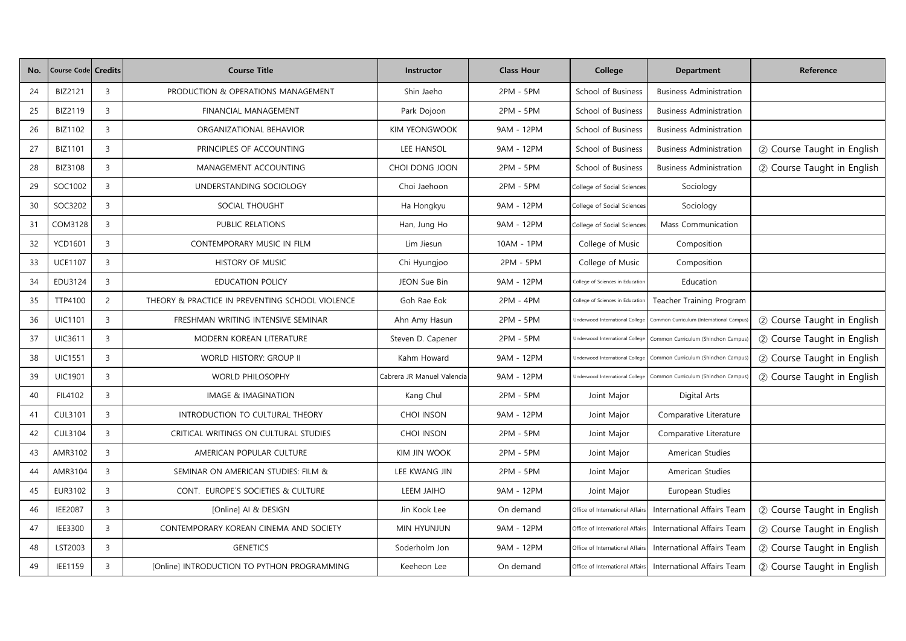| No. | <b>Course Code Credits</b> |                | <b>Course Title</b>                             | Instructor                 | <b>Class Hour</b> | College                                | <b>Department</b>                        | Reference                  |
|-----|----------------------------|----------------|-------------------------------------------------|----------------------------|-------------------|----------------------------------------|------------------------------------------|----------------------------|
| 24  | BIZ2121                    | 3              | PRODUCTION & OPERATIONS MANAGEMENT              | Shin Jaeho                 | 2PM - 5PM         | School of Business                     | <b>Business Administration</b>           |                            |
| 25  | BIZ2119                    | $\overline{3}$ | FINANCIAL MANAGEMENT                            | Park Dojoon                | 2PM - 5PM         | School of Business                     | <b>Business Administration</b>           |                            |
| 26  | BIZ1102                    | 3              | ORGANIZATIONAL BEHAVIOR                         | <b>KIM YEONGWOOK</b>       | 9AM - 12PM        | School of Business                     | <b>Business Administration</b>           |                            |
| 27  | <b>BIZ1101</b>             | 3              | PRINCIPLES OF ACCOUNTING                        | LEE HANSOL                 | 9AM - 12PM        | School of Business                     | <b>Business Administration</b>           | 2 Course Taught in English |
| 28  | <b>BIZ3108</b>             | $\mathbf{3}$   | MANAGEMENT ACCOUNTING                           | CHOI DONG JOON             | 2PM - 5PM         | School of Business                     | <b>Business Administration</b>           | 2 Course Taught in English |
| 29  | SOC1002                    | 3              | UNDERSTANDING SOCIOLOGY                         | Choi Jaehoon               | 2PM - 5PM         | College of Social Sciences             | Sociology                                |                            |
| 30  | SOC3202                    | 3              | SOCIAL THOUGHT                                  | Ha Hongkyu                 | 9AM - 12PM        | College of Social Sciences             | Sociology                                |                            |
| 31  | COM3128                    | $\overline{3}$ | PUBLIC RELATIONS                                | Han, Jung Ho               | 9AM - 12PM        | College of Social Sciences             | Mass Communication                       |                            |
| 32  | <b>YCD1601</b>             | $\overline{3}$ | CONTEMPORARY MUSIC IN FILM                      | Lim Jiesun                 | 10AM - 1PM        | College of Music                       | Composition                              |                            |
| 33  | <b>UCE1107</b>             | $\mathbf{3}$   | HISTORY OF MUSIC                                | Chi Hyungjoo               | 2PM - 5PM         | College of Music                       | Composition                              |                            |
| 34  | EDU3124                    | $\mathbf{3}$   | <b>EDUCATION POLICY</b>                         | JEON Sue Bin               | 9AM - 12PM        | College of Sciences in Education       | Education                                |                            |
| 35  | TTP4100                    | $\overline{2}$ | THEORY & PRACTICE IN PREVENTING SCHOOL VIOLENCE | Goh Rae Eok                | 2PM - 4PM         | College of Sciences in Education       | Teacher Training Program                 |                            |
| 36  | <b>UIC1101</b>             | 3              | FRESHMAN WRITING INTENSIVE SEMINAR              | Ahn Amy Hasun              | 2PM - 5PM         | <b>Jnderwood International College</b> | Common Curriculum (International Campus) | 2 Course Taught in English |
| 37  | <b>UIC3611</b>             | $\overline{3}$ | MODERN KOREAN LITERATURE                        | Steven D. Capener          | 2PM - 5PM         | Underwood International College        | Common Curriculum (Shinchon Campus)      | 2 Course Taught in English |
| 38  | <b>UIC1551</b>             | $\mathbf{3}$   | WORLD HISTORY: GROUP II                         | Kahm Howard                | 9AM - 12PM        | <b>Jnderwood International College</b> | Common Curriculum (Shinchon Campus)      | 2 Course Taught in English |
| 39  | <b>UIC1901</b>             | $\mathbf{3}$   | <b>WORLD PHILOSOPHY</b>                         | Cabrera JR Manuel Valencia | 9AM - 12PM        | <b>Jnderwood International College</b> | Common Curriculum (Shinchon Campus)      | 2 Course Taught in English |
| 40  | FIL4102                    | 3              | IMAGE & IMAGINATION                             | Kang Chul                  | 2PM - 5PM         | Joint Major                            | Digital Arts                             |                            |
| 41  | <b>CUL3101</b>             | $\overline{3}$ | INTRODUCTION TO CULTURAL THEORY                 | CHOI INSON                 | 9AM - 12PM        | Joint Major                            | Comparative Literature                   |                            |
| 42  | <b>CUL3104</b>             | 3              | CRITICAL WRITINGS ON CULTURAL STUDIES           | CHOI INSON                 | 2PM - 5PM         | Joint Major                            | Comparative Literature                   |                            |
| 43  | AMR3102                    | 3              | AMERICAN POPULAR CULTURE                        | <b>KIM JIN WOOK</b>        | 2PM - 5PM         | Joint Major                            | American Studies                         |                            |
| 44  | AMR3104                    | $\mathbf{3}$   | SEMINAR ON AMERICAN STUDIES: FILM &             | LEE KWANG JIN              | 2PM - 5PM         | Joint Major                            | American Studies                         |                            |
| 45  | EUR3102                    | 3              | CONT. EUROPE'S SOCIETIES & CULTURE              | LEEM JAIHO                 | 9AM - 12PM        | Joint Major                            | European Studies                         |                            |
| 46  | <b>IEE2087</b>             | 3              | [Online] AI & DESIGN                            | Jin Kook Lee               | On demand         | Office of International Affairs        | International Affairs Team               | 2 Course Taught in English |
| 47  | IEE3300                    | 3              | CONTEMPORARY KOREAN CINEMA AND SOCIETY          | MIN HYUNJUN                | 9AM - 12PM        | Office of International Affairs        | International Affairs Team               | 2 Course Taught in English |
| 48  | LST2003                    | $\overline{3}$ | <b>GENETICS</b>                                 | Soderholm Jon              | 9AM - 12PM        | Office of International Affairs        | International Affairs Team               | 2 Course Taught in English |
| 49  | IEE1159                    | $\mathbf{3}$   | [Online] INTRODUCTION TO PYTHON PROGRAMMING     | Keeheon Lee                | On demand         | Office of International Affairs        | International Affairs Team               | 2 Course Taught in English |